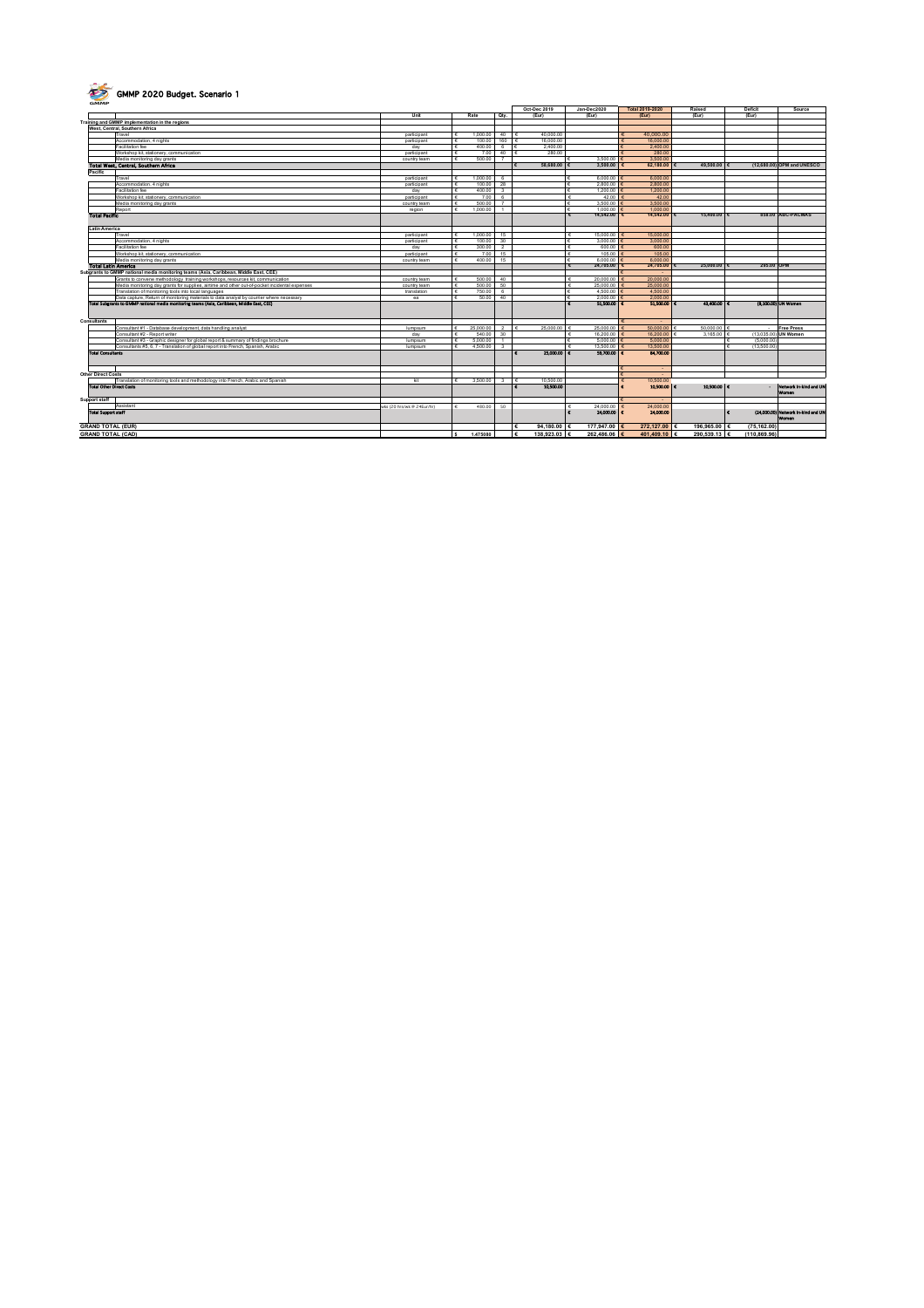

## **GMMP 2020 Budget. Scenario 1**

| $\sim$<br><b>GMMP</b>      | <b>GMML CASO DAMAGE OPENING</b>                                                               |                            |   |           |                          |                          |                            |                 |             |                            |                                             |
|----------------------------|-----------------------------------------------------------------------------------------------|----------------------------|---|-----------|--------------------------|--------------------------|----------------------------|-----------------|-------------|----------------------------|---------------------------------------------|
|                            |                                                                                               |                            |   |           |                          | Oct-Dec 2019             | Jan-Dec2020                | Total 2019-2020 | Raised      | Deficit                    | Source                                      |
|                            |                                                                                               | Unit                       |   | Rate      | Otv.                     | (Eur)                    | (Eur)                      | (Eur)           | (Eur)       | (Eur)                      |                                             |
|                            | Training and GMMP implementation in the regions                                               |                            |   |           |                          |                          |                            |                 |             |                            |                                             |
|                            | West, Central, Southern Africa                                                                |                            |   |           |                          |                          |                            |                 |             |                            |                                             |
|                            | Travel                                                                                        | participant                | £ | 1.000.00  | 40                       | 40,000.00                |                            | 40,000,00       |             |                            |                                             |
|                            | Accommodation, 4 nights                                                                       | participant                |   | 100.00    | 160                      | 16,000.00                |                            | 16,000.00       |             |                            |                                             |
|                            | Facilitation fee                                                                              | day                        |   | 400.00    | 6                        | 2,400.00                 |                            | 2,400.00        |             |                            |                                             |
|                            | Workshop kit, stationery, communication                                                       | participant                |   | 7.00      | 40                       | 280.00                   |                            | 280.00          |             |                            |                                             |
|                            | Media monitoring day grants                                                                   | country team               |   | 500.00    | 7                        |                          | 3,500.00                   | 3,500.00        |             |                            |                                             |
|                            | Total West, Central, Southern Africa                                                          |                            |   |           |                          | 58,680.00                | 3,500.00                   | 62.180.00       | 49,500.00   |                            | (12,680.00) OPM and UNESCO                  |
| Pacific                    |                                                                                               |                            |   |           |                          |                          |                            |                 |             |                            |                                             |
|                            | Travel                                                                                        | participant                | ÷ | 1.000.00  | 6                        |                          | 6,000.00                   | 6,000.00        |             |                            |                                             |
|                            | Accommodation, 4 nights                                                                       | participant                |   | 100.00    | 28                       |                          | 2,800.00                   | 2,800.00        |             |                            |                                             |
|                            | Facilitation fee                                                                              | day                        |   | 400.00    | $\mathbf{3}$             |                          | 1,200.00                   | 1,200.00        |             |                            |                                             |
|                            | Workshop kit, stationery, communication                                                       | participant                |   | 7.00      | 6                        |                          | 42.00                      | 42.00           |             |                            |                                             |
|                            | Media monitoring day grants                                                                   | country team               |   | 500.00    | $\overline{7}$           |                          | 3,500.00                   | 3,500.00        |             |                            |                                             |
|                            | Report                                                                                        | region                     |   | 1.000.00  | $\overline{\phantom{a}}$ |                          | 1,000.00                   | 1.000.00        |             |                            |                                             |
| <b>Total Pacific</b>       |                                                                                               |                            |   |           |                          |                          | 14,542.00                  | 14,542.00 €     | 15,400.00 € |                            | 858.00 ABC-PACMAS                           |
|                            |                                                                                               |                            |   |           |                          |                          |                            |                 |             |                            |                                             |
| Latin America              |                                                                                               |                            |   |           |                          |                          |                            |                 |             |                            |                                             |
|                            | Travel                                                                                        | participant                |   | 1.000.00  | 15                       |                          | 15,000.00<br>¢             | 15,000.00       |             |                            |                                             |
|                            | Accommodation, 4 nights                                                                       | participant                |   | 100.00    | 30                       |                          | 3,000.00                   | 3,000.00        |             |                            |                                             |
|                            | Facilitation fee                                                                              | day                        |   | 300.00    | $\overline{2}$           |                          | 600.00                     | 600.00          |             |                            |                                             |
|                            | Workshop kit, stationery, communication                                                       | participant                |   | 7.00      | 15                       |                          | 105.00                     | 105.00          |             |                            |                                             |
|                            | Media monitoring day grants                                                                   | country team               |   | 400.00    | 15                       |                          | 6,000.00                   | 6,000.00        |             |                            |                                             |
| <b>Total Latin America</b> |                                                                                               |                            |   |           |                          |                          | 24,705.00                  | 24,705.00       | 25,000.00   | 295.00 OPM                 |                                             |
|                            | Subgrants to GMMP national media monitoring teams (Asia, Caribbean, Middle East, CEE)         |                            |   |           |                          |                          |                            | $\sim$          |             |                            |                                             |
|                            | Grants to convene methodology training workshops, resources kit, communication                | country team               |   | 500.00    | 40                       |                          | 20,000.00<br>¢             | 20,000.00       |             |                            |                                             |
|                            | Media monitoring day grants for supplies, airtime and other out-of-pocket incidental expenses | country team               |   | 500.00    | 50                       |                          | 25,000.00<br>€             | 25,000.00       |             |                            |                                             |
|                            | Translation of monitoring tools into local languages                                          | translation                |   | 750.00    | 6                        |                          | 4,500.00                   | 4,500.00        |             |                            |                                             |
|                            | Data capture, Return of monitoring materials to data analyst by courrier where necessary      | ea                         |   | 50.00     | 40                       |                          | 2,000.00                   | 2,000.00        |             |                            |                                             |
|                            | Total Subgrants to GMMP national media monitoring teams (Asia, Caribbean, Middle East, CEE)   |                            |   |           |                          |                          | 51,500.00<br>$\epsilon$    | 51,500.00       | 43,400.00 € |                            | (8,100.00) UN Women                         |
| Consultants                |                                                                                               |                            |   |           |                          |                          |                            |                 |             |                            |                                             |
|                            | Consultant #1 - Database development, data handling analyst                                   | lumpsum                    |   | 25,000.00 | $\overline{2}$           | 25,000.00                | 25,000.00<br>c             | 50,000.00       | 50,000.00   |                            | <b>Free Press</b>                           |
|                            | Consultant #2 - Report writer                                                                 | day                        |   | 540.00    | 30                       |                          | 16,200.00                  | 16,200.00       | 3.165.00    |                            | (13.035.00) UN Women                        |
|                            | Consultant #3 - Graphic designer for global report & summary of findings brochure             | lumpsum                    |   | 5.000.00  | $\mathbf{1}$             |                          | 5,000.00                   | 5,000.00        |             | (5.000.00                  |                                             |
|                            | Consultants #5, 6, 7 - Translation of global report into French, Spanish, Arabic              | lumpsum                    |   | 4,500.00  | $\overline{\mathbf{3}}$  |                          | 13,500.00                  | 13,500.00       |             | (13.500.00                 |                                             |
| <b>Total Consultants</b>   |                                                                                               |                            |   |           |                          | 25,000,00 €              | 59,700,00 C                | 84,700,00       |             |                            |                                             |
| <b>Other Direct Costs</b>  |                                                                                               |                            |   |           |                          |                          |                            | $\sim$          |             |                            |                                             |
|                            | Franslation of monitoring tools and methodology into French, Arabic and Spanish               | kit                        |   | 3,500.00  | $\mathbf{3}$             | 10,500.00                |                            | 10.500.00       |             |                            |                                             |
|                            | <b>Total Other Direct Costs</b>                                                               |                            |   |           |                          | 10,500.00                |                            | 10,500.00 C     | 10,500.00 C |                            | - Network in-kind and UN<br>Women           |
| Support staff              |                                                                                               |                            |   |           |                          |                          |                            |                 |             |                            |                                             |
|                            | Assistant                                                                                     | wks (20 hrs/wk @ 24Eur/hr) |   | 480.00    | 50                       |                          | 24,000.00<br>¢             | 24.000.00       |             |                            |                                             |
| <b>Total Support staff</b> |                                                                                               |                            |   |           |                          |                          | $\epsilon$<br>24,000.00 C  | 24,000.00       |             |                            | (24,000.00) Network in-kind and UN<br>Women |
| <b>GRAND TOTAL (EUR)</b>   |                                                                                               |                            |   |           |                          | 94,180,00                | 177,947.00                 | 272.127.00 €    | 196,965.00  | (75.162.00                 |                                             |
| <b>GRAND TOTAL (CAD)</b>   |                                                                                               |                            |   | 1,475080  |                          | 138,923.03<br>$\epsilon$ | 262,486.06 €<br>$\epsilon$ | 401.409.10 €    | 290.539.13  | (110.869.96)<br>$\epsilon$ |                                             |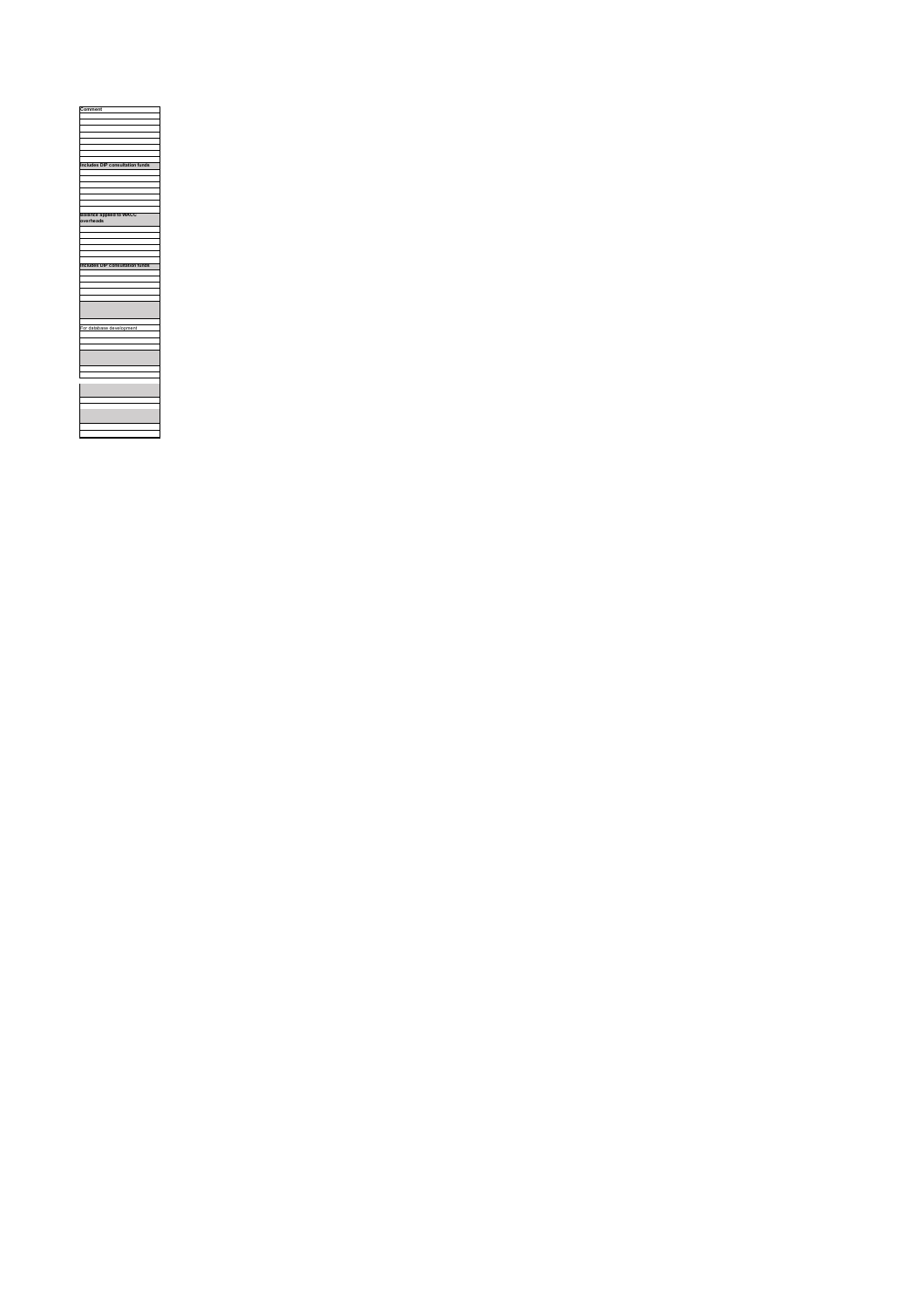| Comment                                     |
|---------------------------------------------|
|                                             |
|                                             |
|                                             |
|                                             |
|                                             |
|                                             |
|                                             |
| <b>Includes DIP consultation funds</b>      |
|                                             |
|                                             |
|                                             |
|                                             |
|                                             |
|                                             |
|                                             |
| <b>Balance applied to WACC</b><br>overheads |
|                                             |
|                                             |
|                                             |
|                                             |
|                                             |
|                                             |
| Includes DIP consultation funds             |
|                                             |
|                                             |
|                                             |
|                                             |
|                                             |
|                                             |
|                                             |
|                                             |
| For database development                    |
|                                             |
|                                             |
|                                             |
|                                             |
|                                             |
|                                             |
|                                             |
|                                             |
|                                             |
|                                             |
|                                             |
|                                             |
|                                             |
|                                             |
|                                             |
|                                             |
|                                             |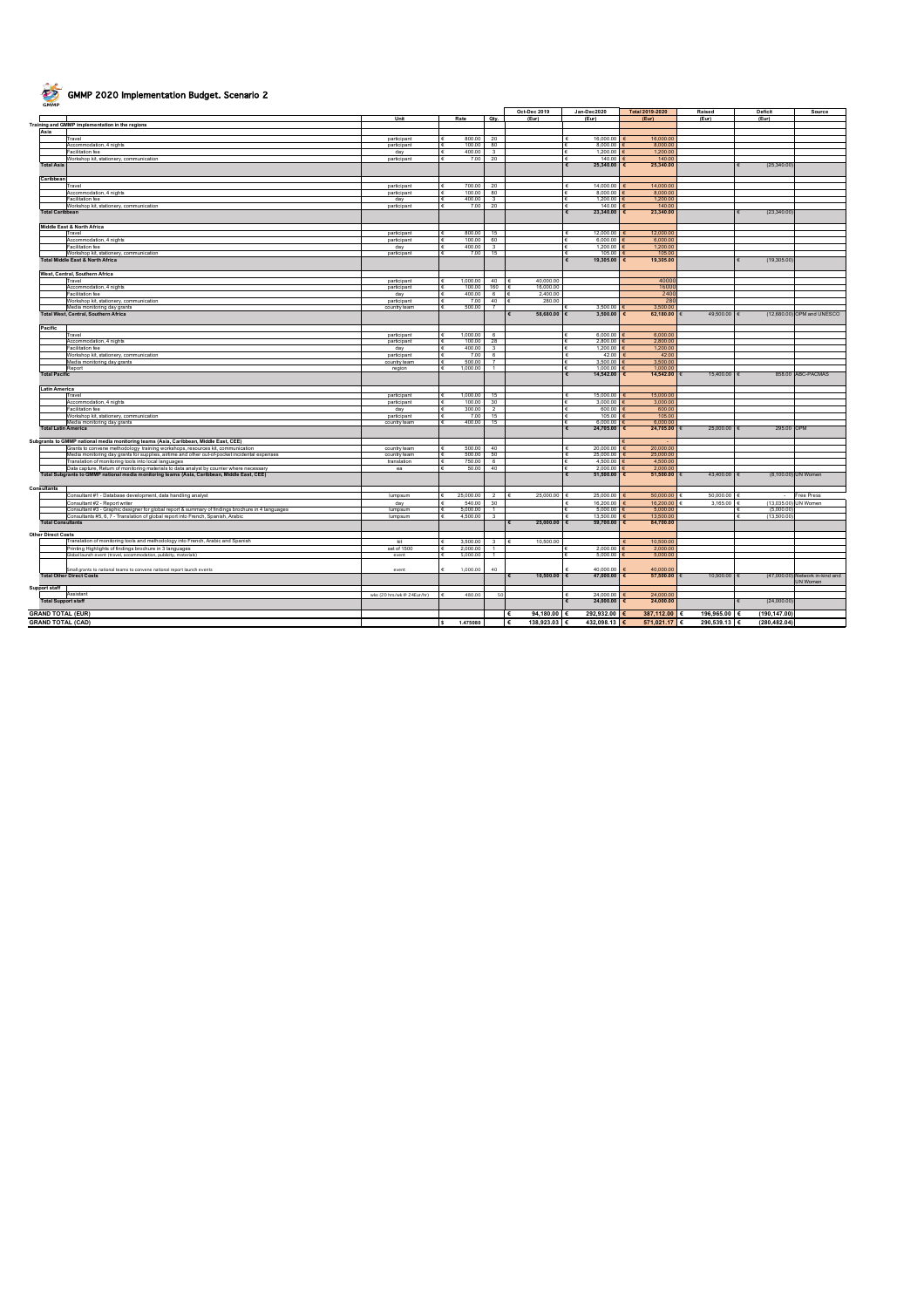

## GMMP 2020 Implementation Budget. Scenario 2

|                            |                                                                                                  |                             |                                        |                         | Oct-Dec 2019            | Jan-Dec2020                              | Total 2019-2020         | Raised       | Deficit       | Source                          |
|----------------------------|--------------------------------------------------------------------------------------------------|-----------------------------|----------------------------------------|-------------------------|-------------------------|------------------------------------------|-------------------------|--------------|---------------|---------------------------------|
|                            |                                                                                                  | Unit                        | Rate                                   | Qty.                    | (Eur)                   | (Eur)                                    | (Eur)                   | (Eur)        | (Eur)         |                                 |
| Asia                       | Training and GMMP implementation in the regions                                                  |                             |                                        |                         |                         |                                          |                         |              |               |                                 |
|                            | Travel                                                                                           | participant                 | 800.00<br>$\epsilon$                   | 20                      |                         | $\epsilon$<br>16,000.00                  | 16,000.00               |              |               |                                 |
|                            | Accommodation, 4 nights                                                                          | participant                 | $\epsilon$<br>100.00                   | 80                      |                         | ¢<br>8,000.00                            | 8,000.00                |              |               |                                 |
|                            | Facilitation fee                                                                                 | day                         | 400.00<br>$\epsilon$                   | 3                       |                         | 1,200.00<br>€                            | 1,200.00                |              |               |                                 |
|                            | Workshop kit, stationery, communication                                                          | participant                 | $\epsilon$<br>7.00                     | 20                      |                         | 140.00<br>$\epsilon$                     | 140.00                  |              |               |                                 |
| <b>Total Asia</b>          |                                                                                                  |                             |                                        |                         |                         | 25,340.00<br>$\epsilon$                  | 25,340.00               |              | (25,340.00)   |                                 |
| Caribbean                  |                                                                                                  |                             |                                        |                         |                         |                                          |                         |              |               |                                 |
|                            | Travel                                                                                           | participant                 | 700.00                                 | 20                      |                         | 14.000.00<br>c                           | 14,000.00               |              |               |                                 |
|                            | Accommodation, 4 nights                                                                          | participant                 | 100.00<br>€                            | 80                      |                         | 8,000.00                                 | 8,000.00                |              |               |                                 |
|                            | Facilitation fee                                                                                 | day                         | 400.00<br>$\epsilon$                   | $\overline{\mathbf{3}}$ |                         | 1,200.00                                 | 1,200.00                |              |               |                                 |
|                            | Workshop kit, stationery, communication                                                          | participant                 | 7.00<br>$\epsilon$                     | 20                      |                         | 140.00<br>$\epsilon$                     | 140.00                  |              |               |                                 |
| <b>Total Caribbean</b>     |                                                                                                  |                             |                                        |                         |                         | 23,340.00<br>$\epsilon$                  | 23,340.00<br>$\epsilon$ |              | (23,340.00)   |                                 |
|                            | Middle East & North Africa                                                                       |                             |                                        |                         |                         |                                          |                         |              |               |                                 |
|                            | Travel                                                                                           | participant                 | 800.00<br>$\epsilon$                   | 15                      |                         | $\epsilon$<br>12,000.00                  | 12,000.00               |              |               |                                 |
|                            | Accommodation, 4 nights                                                                          | participant                 | 100.00<br>$\epsilon$                   | 60                      |                         | 6,000.00<br>c                            | 6,000.00                |              |               |                                 |
|                            | Facilitation fee                                                                                 | day                         | 400.00<br>$\epsilon$                   | $3 -$                   |                         | 1,200.00                                 | 1,200.00                |              |               |                                 |
|                            | Workshop kit, stationery, communication<br><b>Total Middle East &amp; North Africa</b>           | participant                 | 7.00<br>$\epsilon$                     | 15                      |                         | 105.00<br>$\epsilon$<br>19,305.00        | 105.00<br>19,305.00     |              | (19,305.00)   |                                 |
|                            |                                                                                                  |                             |                                        |                         |                         |                                          |                         |              |               |                                 |
|                            | West, Central, Southern Africa                                                                   |                             |                                        |                         |                         |                                          |                         |              |               |                                 |
|                            | Travel                                                                                           | participant                 | 1,000.00                               | 40                      | 40,000.00               |                                          | 4000                    |              |               |                                 |
|                            | Accommodation, 4 nights                                                                          | participant                 | 100.00                                 | 160                     | 16,000.00               |                                          | 1600                    |              |               |                                 |
|                            | Facilitation fee                                                                                 | day                         | 400.00<br>ء ا                          | 6                       | 2,400.00<br>$\epsilon$  |                                          | 2400                    |              |               |                                 |
|                            | Workshop kit, stationery, communication                                                          | participant                 | $\epsilon$<br>7.00<br>$\epsilon$       | 40<br>$\overline{7}$    | c<br>280.00             | 3.500.00                                 | 280<br>3.500.00         |              |               |                                 |
|                            | Media monitoring day grants<br><b>Total West, Central, Southern Africa</b>                       | country team                | 500.00                                 |                         | 58,680.00 €             | 3,500.00                                 | 62,180.00               | 49,500.00    |               | (12,680.00) OPM and UNESCO      |
|                            |                                                                                                  |                             |                                        |                         |                         |                                          |                         |              |               |                                 |
| Pacific                    |                                                                                                  |                             |                                        |                         |                         |                                          |                         |              |               |                                 |
|                            | Travel                                                                                           | participant                 | 1,000.00<br>$\epsilon$                 | 6                       |                         | 6,000.00<br>$\epsilon$                   | 6,000.00                |              |               |                                 |
|                            | Accommodation, 4 nights                                                                          | participant                 | $\epsilon$<br>100.00                   | 28                      |                         | 2,800.00<br>€                            | 2,800.00                |              |               |                                 |
|                            | Facilitation fee                                                                                 | day                         | 400.00<br>I€                           | $\mathbf{3}$            |                         | 1,200.00<br>€                            | 1,200.00                |              |               |                                 |
|                            | Workshop kit, stationery, communication<br>Media monitoring day grants                           | participant<br>country team | 7.00<br>£<br>500.00<br>$\epsilon$      | 6<br>$\overline{7}$     |                         | 42.00<br>$\epsilon$<br>3,500.00          | 42.00<br>3,500.00       |              |               |                                 |
|                            | Report                                                                                           | region                      | 1,000.00<br>$\epsilon$                 | $\mathbf{1}$            |                         | 1,000.00                                 | 1,000.00                |              |               |                                 |
| <b>Total Pacific</b>       |                                                                                                  |                             |                                        |                         |                         | 14,542.00<br>$\epsilon$                  | 14,542.00<br>$\epsilon$ | 15,400.00    |               | 858.00 ABC-PACMAS               |
|                            |                                                                                                  |                             |                                        |                         |                         |                                          |                         |              |               |                                 |
| <b>Latin America</b>       |                                                                                                  |                             |                                        |                         |                         |                                          |                         |              |               |                                 |
|                            | Travel<br>Accommodation, 4 nights                                                                | participant<br>participant  | 1,000.00<br>$\epsilon$<br>Γ€<br>100.00 | 15<br>30 <sup>7</sup>   |                         | $\epsilon$<br>15,000.00<br>€<br>3,000.00 | 15,000.00<br>3,000.00   |              |               |                                 |
|                            | Facilitation fee                                                                                 | day                         | 300.00<br>$\epsilon$                   | $\overline{2}$          |                         | 600.00<br>$\epsilon$                     | 600.00                  |              |               |                                 |
|                            | Workshop kit, stationery, communication                                                          | participant                 | 7.00<br>$\epsilon$                     | 15                      |                         | 105.00<br>¢                              | 105.00                  |              |               |                                 |
|                            | Media monitoring day grants                                                                      | country team                | 400.00<br>$\epsilon$                   | 15                      |                         | 6,000.00<br>¢                            | 6,000.00                |              |               |                                 |
|                            | <b>Total Latin America</b>                                                                       |                             |                                        |                         |                         | 24,705.00<br>$\epsilon$                  | 24,705.00               | 25,000.00    | 295.00 OPM    |                                 |
|                            | Subgrants to GMMP national media monitoring teams (Asia, Caribbean, Middle East, CEE)            |                             |                                        |                         |                         |                                          |                         |              |               |                                 |
|                            | Grants to convene methodology training workshops, resources kit, communication                   | country team                | 500.00                                 | 40                      |                         | $\epsilon$<br>20,000.00                  | 20,000.00               |              |               |                                 |
|                            | Media monitoring day grants for supplies, airtime and other out-of-pocket incidental expenses    | country team                | 500.00<br>$\epsilon$                   | 50                      |                         | 25,000.00<br>$\epsilon$                  | 25,000.00               |              |               |                                 |
|                            | Translation of monitoring tools into local languages                                             | translation                 | 750.00<br>$\epsilon$                   | 6                       |                         | 4,500.00<br>€                            | 4,500.00                |              |               |                                 |
|                            | Data capture, Return of monitoring materials to data analyst by courrier where necessary         | ea                          | 50.00<br>$\epsilon$                    | 40                      |                         | 2,000.00<br>c                            | 2,000.00                | 43,400.00    |               |                                 |
|                            | Total Subgrants to GMMP national media monitoring teams (Asia, Caribbean, Middle East, CEE)      |                             |                                        |                         |                         | 51,500.00<br>$\epsilon$                  | 51,500.00               |              |               | (8,100.00) UN Women             |
| Consultants                |                                                                                                  |                             |                                        |                         |                         |                                          |                         |              |               |                                 |
|                            | Consultant #1 - Database development, data handling analyst                                      | lumpsum                     | 25,000.00<br>€                         | $\overline{2}$          | 25,000.00               | 25,000.00                                | 50,000.00               | 50,000.00    | $\sim$        | Free Press                      |
|                            | Consultant #2 - Report writer                                                                    | day                         | 540.00<br>$\epsilon$                   | 30                      |                         | 16,200.00                                | 16,200.00               | 3,165.00     |               | (13,035.00) UN Women            |
|                            | Consultant #3 - Graphic designer for global report & summary of findings brochure in 4 languages | lumpsum                     | 5,000.00<br>$\epsilon$                 | $\mathbf{1}$            |                         | 5,000.00                                 | 5,000.00                |              | (5.000.00)    |                                 |
|                            | Consultants #5, 6, 7 - Translation of global report into French, Spanish, Arabic                 | lumpsum                     | 4,500.00<br>$\epsilon$                 | $\overline{\mathbf{3}}$ |                         | 13,500.00                                | 13,500.00               |              | (13,500.00)   |                                 |
| <b>Total Consultants</b>   |                                                                                                  |                             |                                        |                         | 25,000.00 €             | 59,700.00                                | 84,700.00               |              |               |                                 |
| <b>Other Direct Costs</b>  |                                                                                                  |                             |                                        |                         |                         |                                          |                         |              |               |                                 |
|                            | Translation of monitoring tools and methodology into French, Arabic and Spanish                  | kit                         | 3,500.00<br>-6                         | $\mathbf{3}$            | 10,500.00<br>$\epsilon$ |                                          | 10,500.00               |              |               |                                 |
|                            | Printing Highlights of findings brochure in 3 languages                                          | set of 1500                 | 2.000.00<br>¢                          | 1                       |                         | 2,000.00                                 | 2,000.00                |              |               |                                 |
|                            | Slobal launch event (travel, accommodation, publicity, materials)                                | event                       | €<br>5,000.00                          | 1.                      |                         | 5,000.00                                 | 5,000.00                |              |               |                                 |
|                            | Small grants to national teams to convene national report launch events                          | event                       | 1,000.00                               | 40                      |                         | 40,000.00                                | 40,000.00               |              |               |                                 |
|                            | <b>Total Other Direct Costs</b>                                                                  |                             |                                        |                         | 10,500.00               | 47,000.00                                | 57,500.00               | 10,500.00    |               | (47,000.00) Network in-kind and |
|                            |                                                                                                  |                             |                                        |                         |                         |                                          |                         |              |               | JN Women                        |
| Support staff              |                                                                                                  |                             |                                        |                         |                         |                                          |                         |              |               |                                 |
| <b>Total Support staff</b> | Assistant                                                                                        | wks (20 hrs/wk @ 24Eur/hr)  | 480.00<br>$\epsilon$                   | 50                      |                         | 24,000.00<br>24,000.00<br>$\epsilon$     | 24,000.00<br>24,000.00  |              | (24,000.00)   |                                 |
|                            |                                                                                                  |                             |                                        |                         |                         |                                          |                         |              |               |                                 |
| <b>GRAND TOTAL (EUR)</b>   |                                                                                                  |                             |                                        |                         | 94,180.00               | 292.932.00                               | 387,112.00              | 196,965.00   | (190, 147.00) |                                 |
| <b>GRAND TOTAL (CAD)</b>   |                                                                                                  |                             | 1,475080<br>$\mathbf{s}$               |                         | 138,923.03 €<br>€       | 432,098.13                               | 571,021.17 €            | 290,539.13 € | (280, 482.04) |                                 |
|                            |                                                                                                  |                             |                                        |                         |                         |                                          |                         |              |               |                                 |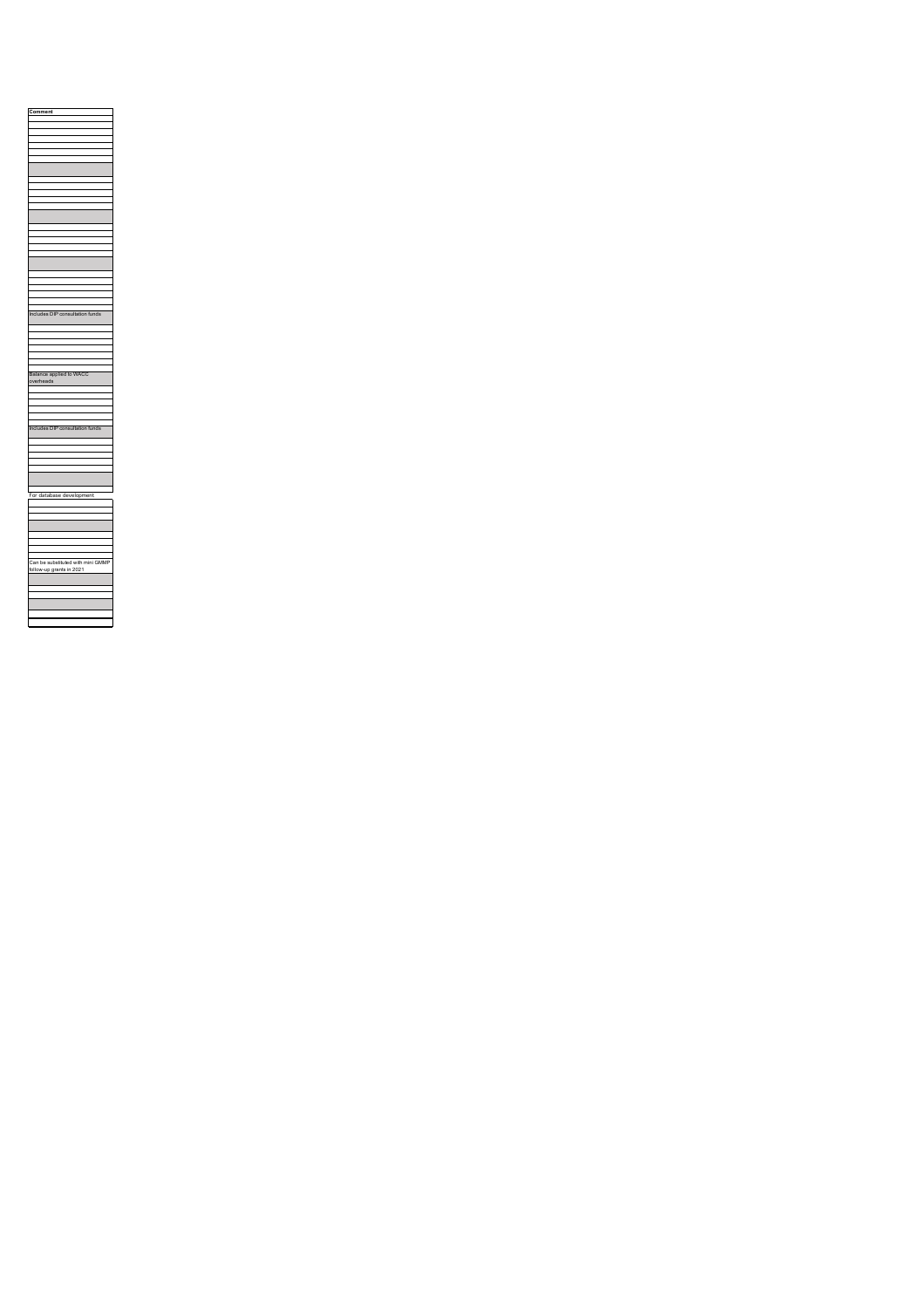| Comment                                                       |
|---------------------------------------------------------------|
|                                                               |
|                                                               |
|                                                               |
|                                                               |
|                                                               |
|                                                               |
|                                                               |
|                                                               |
|                                                               |
|                                                               |
|                                                               |
|                                                               |
|                                                               |
|                                                               |
|                                                               |
|                                                               |
|                                                               |
|                                                               |
|                                                               |
|                                                               |
|                                                               |
| Includes DIP consultation funds                               |
|                                                               |
|                                                               |
|                                                               |
|                                                               |
|                                                               |
| Balance applied to WACC<br>overheads                          |
|                                                               |
|                                                               |
|                                                               |
|                                                               |
| Includes DIP consultation funds                               |
|                                                               |
|                                                               |
|                                                               |
|                                                               |
|                                                               |
| For database development                                      |
|                                                               |
|                                                               |
|                                                               |
|                                                               |
|                                                               |
|                                                               |
|                                                               |
| Can be substituted with mini GMMP<br>follow-up grants in 2021 |
|                                                               |
|                                                               |
|                                                               |
|                                                               |
|                                                               |
|                                                               |